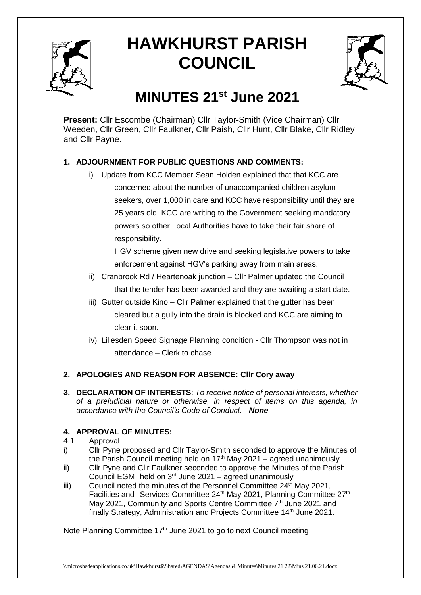

# **HAWKHURST PARISH COUNCIL**



# **MINUTES 21st June 2021**

**Present:** Cllr Escombe (Chairman) Cllr Taylor-Smith (Vice Chairman) Cllr Weeden, Cllr Green, Cllr Faulkner, Cllr Paish, Cllr Hunt, Cllr Blake, Cllr Ridley and Cllr Payne.

# **1. ADJOURNMENT FOR PUBLIC QUESTIONS AND COMMENTS:**

i) Update from KCC Member Sean Holden explained that that KCC are concerned about the number of unaccompanied children asylum seekers, over 1,000 in care and KCC have responsibility until they are 25 years old. KCC are writing to the Government seeking mandatory powers so other Local Authorities have to take their fair share of responsibility.

HGV scheme given new drive and seeking legislative powers to take enforcement against HGV's parking away from main areas.

- ii) Cranbrook Rd / Heartenoak junction Cllr Palmer updated the Council that the tender has been awarded and they are awaiting a start date.
- iii) Gutter outside Kino Cllr Palmer explained that the gutter has been cleared but a gully into the drain is blocked and KCC are aiming to clear it soon.
- iv) Lillesden Speed Signage Planning condition Cllr Thompson was not in attendance – Clerk to chase

# **2. APOLOGIES AND REASON FOR ABSENCE: Cllr Cory away**

**3. DECLARATION OF INTERESTS**: *To receive notice of personal interests, whether of a prejudicial nature or otherwise, in respect of items on this agenda, in accordance with the Council's Code of Conduct. - None*

# **4. APPROVAL OF MINUTES:**

- 4.1 Approval
- i) Cllr Pyne proposed and Cllr Taylor-Smith seconded to approve the Minutes of the Parish Council meeting held on  $17<sup>th</sup>$  May 2021 – agreed unanimously
- ii) Cllr Pyne and Cllr Faulkner seconded to approve the Minutes of the Parish Council EGM held on  $3<sup>rd</sup>$  June 2021 – agreed unanimously
- iii) Council noted the minutes of the Personnel Committee  $24<sup>th</sup>$  May 2021, Facilities and Services Committee 24<sup>th</sup> May 2021, Planning Committee 27<sup>th</sup> May 2021, Community and Sports Centre Committee 7<sup>th</sup> June 2021 and finally Strategy, Administration and Projects Committee 14<sup>th</sup> June 2021.

Note Planning Committee 17<sup>th</sup> June 2021 to go to next Council meeting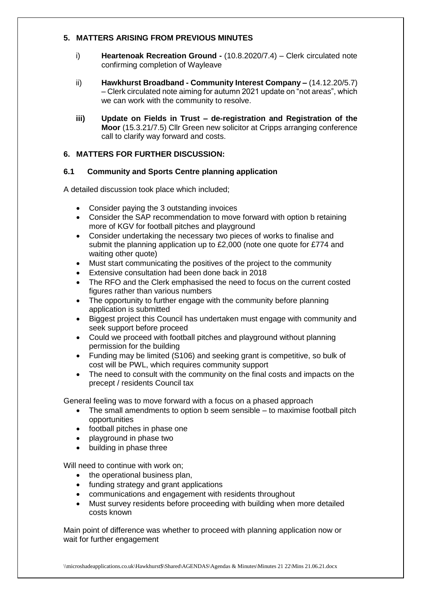#### **5. MATTERS ARISING FROM PREVIOUS MINUTES**

- i) **Heartenoak Recreation Ground -** (10.8.2020/7.4) Clerk circulated note confirming completion of Wayleave
- ii) **Hawkhurst Broadband - Community Interest Company –** (14.12.20/5.7) – Clerk circulated note aiming for autumn 2021 update on "not areas", which we can work with the community to resolve.
- **iii) Update on Fields in Trust – de-registration and Registration of the Moor** (15.3.21/7.5) Cllr Green new solicitor at Cripps arranging conference call to clarify way forward and costs.

#### **6. MATTERS FOR FURTHER DISCUSSION:**

#### **6.1 Community and Sports Centre planning application**

A detailed discussion took place which included;

- Consider paying the 3 outstanding invoices
- Consider the SAP recommendation to move forward with option b retaining more of KGV for football pitches and playground
- Consider undertaking the necessary two pieces of works to finalise and submit the planning application up to £2,000 (note one quote for £774 and waiting other quote)
- Must start communicating the positives of the project to the community
- Extensive consultation had been done back in 2018
- The RFO and the Clerk emphasised the need to focus on the current costed figures rather than various numbers
- The opportunity to further engage with the community before planning application is submitted
- Biggest project this Council has undertaken must engage with community and seek support before proceed
- Could we proceed with football pitches and playground without planning permission for the building
- Funding may be limited (S106) and seeking grant is competitive, so bulk of cost will be PWL, which requires community support
- The need to consult with the community on the final costs and impacts on the precept / residents Council tax

General feeling was to move forward with a focus on a phased approach

- The small amendments to option b seem sensible to maximise football pitch opportunities
- football pitches in phase one
- playground in phase two
- building in phase three

Will need to continue with work on;

- the operational business plan,
- funding strategy and grant applications
- communications and engagement with residents throughout
- Must survey residents before proceeding with building when more detailed costs known

Main point of difference was whether to proceed with planning application now or wait for further engagement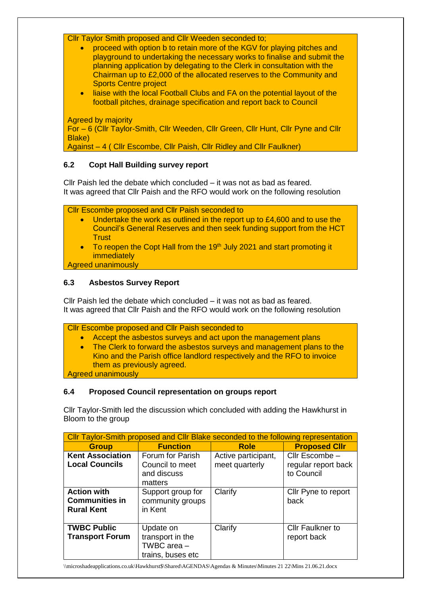Cllr Taylor Smith proposed and Cllr Weeden seconded to;

- proceed with option b to retain more of the KGV for playing pitches and playground to undertaking the necessary works to finalise and submit the planning application by delegating to the Clerk in consultation with the Chairman up to £2,000 of the allocated reserves to the Community and Sports Centre project
- liaise with the local Football Clubs and FA on the potential layout of the football pitches, drainage specification and report back to Council

Agreed by majority

For – 6 (Cllr Taylor-Smith, Cllr Weeden, Cllr Green, Cllr Hunt, Cllr Pyne and Cllr Blake)

Against – 4 ( Cllr Escombe, Cllr Paish, Cllr Ridley and Cllr Faulkner)

#### **6.2 Copt Hall Building survey report**

Cllr Paish led the debate which concluded – it was not as bad as feared. It was agreed that Cllr Paish and the RFO would work on the following resolution

Cllr Escombe proposed and Cllr Paish seconded to

- Undertake the work as outlined in the report up to £4,600 and to use the Council's General Reserves and then seek funding support from the HCT **Trust**
- To reopen the Copt Hall from the 19<sup>th</sup> July 2021 and start promoting it immediately

Agreed unanimously

#### **6.3 Asbestos Survey Report**

Cllr Paish led the debate which concluded – it was not as bad as feared. It was agreed that Cllr Paish and the RFO would work on the following resolution

Cllr Escombe proposed and Cllr Paish seconded to • Accept the asbestos surveys and act upon the management plans

• The Clerk to forward the asbestos surveys and management plans to the Kino and the Parish office landlord respectively and the RFO to invoice them as previously agreed. Agreed unanimously

# **6.4 Proposed Council representation on groups report**

Cllr Taylor-Smith led the discussion which concluded with adding the Hawkhurst in Bloom to the group

| Cllr Taylor-Smith proposed and Cllr Blake seconded to the following representation |                                                                     |                                       |                                                     |
|------------------------------------------------------------------------------------|---------------------------------------------------------------------|---------------------------------------|-----------------------------------------------------|
| <b>Group</b>                                                                       | <b>Function</b>                                                     | <b>Role</b>                           | <b>Proposed Cllr</b>                                |
| <b>Kent Association</b><br><b>Local Councils</b>                                   | Forum for Parish<br>Council to meet<br>and discuss<br>matters       | Active participant,<br>meet quarterly | Cllr Escombe -<br>regular report back<br>to Council |
| <b>Action with</b><br><b>Communities in</b><br><b>Rural Kent</b>                   | Support group for<br>community groups<br>in Kent                    | Clarify                               | Cllr Pyne to report<br>back                         |
| <b>TWBC Public</b><br><b>Transport Forum</b>                                       | Update on<br>transport in the<br>TWBC area $-$<br>trains, buses etc | Clarify                               | <b>Cllr Faulkner to</b><br>report back              |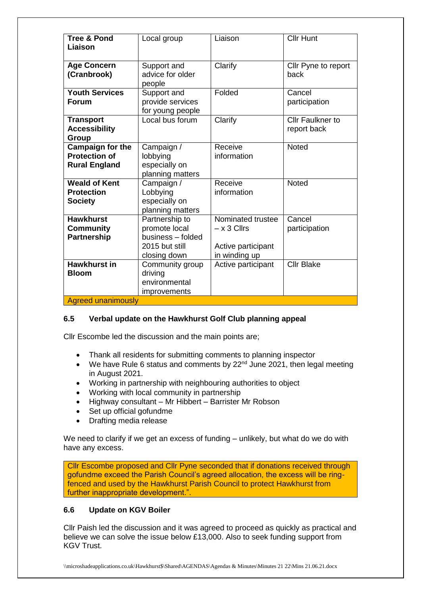| <b>Tree &amp; Pond</b><br>Liaison                                       | Local group                                                                            | Liaison                                                                   | <b>Cllr Hunt</b>                       |
|-------------------------------------------------------------------------|----------------------------------------------------------------------------------------|---------------------------------------------------------------------------|----------------------------------------|
| <b>Age Concern</b><br>(Cranbrook)                                       | Support and<br>advice for older<br>people                                              | Clarify                                                                   | Cllr Pyne to report<br>back            |
| <b>Youth Services</b><br><b>Forum</b>                                   | Support and<br>provide services<br>for young people                                    | Folded                                                                    | Cancel<br>participation                |
| <b>Transport</b><br><b>Accessibility</b><br>Group                       | Local bus forum                                                                        | Clarify                                                                   | <b>Cllr Faulkner to</b><br>report back |
| <b>Campaign for the</b><br><b>Protection of</b><br><b>Rural England</b> | Campaign /<br>lobbying<br>especially on<br>planning matters                            | Receive<br>information                                                    | <b>Noted</b>                           |
| <b>Weald of Kent</b><br><b>Protection</b><br><b>Society</b>             | Campaign /<br>Lobbying<br>especially on<br>planning matters                            | Receive<br>information                                                    | <b>Noted</b>                           |
| <b>Hawkhurst</b><br><b>Community</b><br>Partnership                     | Partnership to<br>promote local<br>business - folded<br>2015 but still<br>closing down | Nominated trustee<br>$- x 3$ Cllrs<br>Active participant<br>in winding up | Cancel<br>participation                |
| <b>Hawkhurst in</b><br><b>Bloom</b><br><b>Agreed unanimously</b>        | Community group<br>driving<br>environmental<br>improvements                            | Active participant                                                        | <b>Cllr Blake</b>                      |

#### **6.5 Verbal update on the Hawkhurst Golf Club planning appeal**

Cllr Escombe led the discussion and the main points are;

- Thank all residents for submitting comments to planning inspector
- $\bullet$  We have Rule 6 status and comments by 22<sup>nd</sup> June 2021, then legal meeting in August 2021.
- Working in partnership with neighbouring authorities to object
- Working with local community in partnership
- Highway consultant Mr Hibbert Barrister Mr Robson
- Set up official gofundme
- Drafting media release

We need to clarify if we get an excess of funding – unlikely, but what do we do with have any excess.

Cllr Escombe proposed and Cllr Pyne seconded that if donations received through gofundme exceed the Parish Council's agreed allocation, the excess will be ringfenced and used by the Hawkhurst Parish Council to protect Hawkhurst from further inappropriate development.".

#### **6.6 Update on KGV Boiler**

Cllr Paish led the discussion and it was agreed to proceed as quickly as practical and believe we can solve the issue below £13,000. Also to seek funding support from KGV Trust.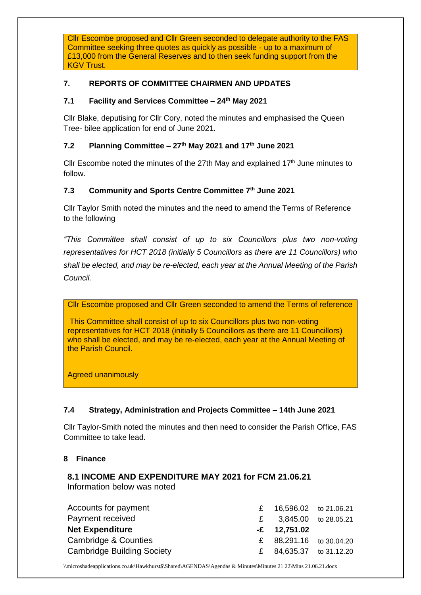Cllr Escombe proposed and Cllr Green seconded to delegate authority to the FAS Committee seeking three quotes as quickly as possible - up to a maximum of £13,000 from the General Reserves and to then seek funding support from the KGV Trust.

## **7. REPORTS OF COMMITTEE CHAIRMEN AND UPDATES**

#### **7.1 Facility and Services Committee – 24th May 2021**

Cllr Blake, deputising for Cllr Cory, noted the minutes and emphasised the Queen Tree- bilee application for end of June 2021.

#### **7.2 Planning Committee – 27th May 2021 and 17th June 2021**

Cllr Escombe noted the minutes of the 27th May and explained  $17<sup>th</sup>$  June minutes to follow.

#### **7.3 Community and Sports Centre Committee 7th June 2021**

Cllr Taylor Smith noted the minutes and the need to amend the Terms of Reference to the following

*"This Committee shall consist of up to six Councillors plus two non-voting representatives for HCT 2018 (initially 5 Councillors as there are 11 Councillors) who shall be elected, and may be re-elected, each year at the Annual Meeting of the Parish Council.* 

Cllr Escombe proposed and Cllr Green seconded to amend the Terms of reference

This Committee shall consist of up to six Councillors plus two non-voting representatives for HCT 2018 (initially 5 Councillors as there are 11 Councillors) who shall be elected, and may be re-elected, each year at the Annual Meeting of the Parish Council.

Agreed unanimously

#### **7.4 Strategy, Administration and Projects Committee – 14th June 2021**

Cllr Taylor-Smith noted the minutes and then need to consider the Parish Office, FAS Committee to take lead.

#### **8 Finance**

#### **8.1 INCOME AND EXPENDITURE MAY 2021 for FCM 21.06.21** Information below was noted

| Accounts for payment              | £ $16,596.02$ to 21.06.21 |  |
|-----------------------------------|---------------------------|--|
| Payment received                  | £ 3,845.00 to 28.05.21    |  |
| <b>Net Expenditure</b>            | $-E$ 12,751.02            |  |
| Cambridge & Counties              | £ $88,291.16$ to 30.04.20 |  |
| <b>Cambridge Building Society</b> | £ $84,635.37$ to 31.12.20 |  |